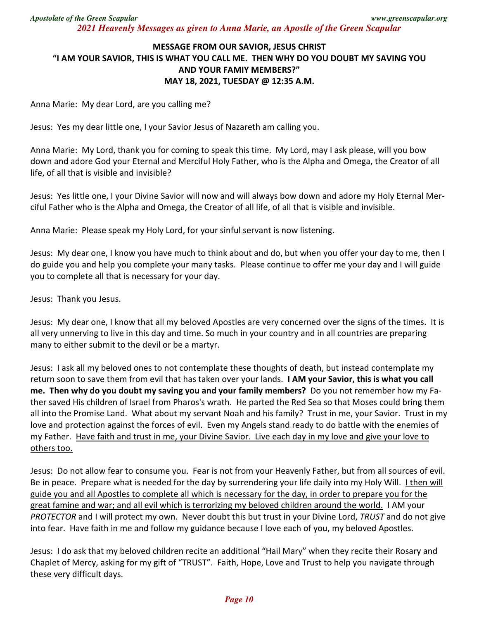## **MESSAGE FROM OUR SAVIOR, JESUS CHRIST "I AM YOUR SAVIOR, THIS IS WHAT YOU CALL ME. THEN WHY DO YOU DOUBT MY SAVING YOU AND YOUR FAMIY MEMBERS?" MAY 18, 2021, TUESDAY @ 12:35 A.M.**

Anna Marie: My dear Lord, are you calling me?

Jesus: Yes my dear little one, I your Savior Jesus of Nazareth am calling you.

Anna Marie: My Lord, thank you for coming to speak this time. My Lord, may I ask please, will you bow down and adore God your Eternal and Merciful Holy Father, who is the Alpha and Omega, the Creator of all life, of all that is visible and invisible?

Jesus: Yes little one, I your Divine Savior will now and will always bow down and adore my Holy Eternal Merciful Father who is the Alpha and Omega, the Creator of all life, of all that is visible and invisible.

Anna Marie: Please speak my Holy Lord, for your sinful servant is now listening.

Jesus: My dear one, I know you have much to think about and do, but when you offer your day to me, then I do guide you and help you complete your many tasks. Please continue to offer me your day and I will guide you to complete all that is necessary for your day.

Jesus: Thank you Jesus.

Jesus: My dear one, I know that all my beloved Apostles are very concerned over the signs of the times. It is all very unnerving to live in this day and time. So much in your country and in all countries are preparing many to either submit to the devil or be a martyr.

Jesus: I ask all my beloved ones to not contemplate these thoughts of death, but instead contemplate my return soon to save them from evil that has taken over your lands. **I AM your Savior, this is what you call me. Then why do you doubt my saving you and your family members?** Do you not remember how my Father saved His children of Israel from Pharos's wrath. He parted the Red Sea so that Moses could bring them all into the Promise Land. What about my servant Noah and his family? Trust in me, your Savior. Trust in my love and protection against the forces of evil. Even my Angels stand ready to do battle with the enemies of my Father. Have faith and trust in me, your Divine Savior. Live each day in my love and give your love to others too.

Jesus: Do not allow fear to consume you. Fear is not from your Heavenly Father, but from all sources of evil. Be in peace. Prepare what is needed for the day by surrendering your life daily into my Holy Will. I then will guide you and all Apostles to complete all which is necessary for the day, in order to prepare you for the great famine and war; and all evil which is terrorizing my beloved children around the world. I AM your *PROTECTOR* and I will protect my own. Never doubt this but trust in your Divine Lord, *TRUST* and do not give into fear. Have faith in me and follow my guidance because I love each of you, my beloved Apostles.

Jesus: I do ask that my beloved children recite an additional "Hail Mary" when they recite their Rosary and Chaplet of Mercy, asking for my gift of "TRUST". Faith, Hope, Love and Trust to help you navigate through these very difficult days.